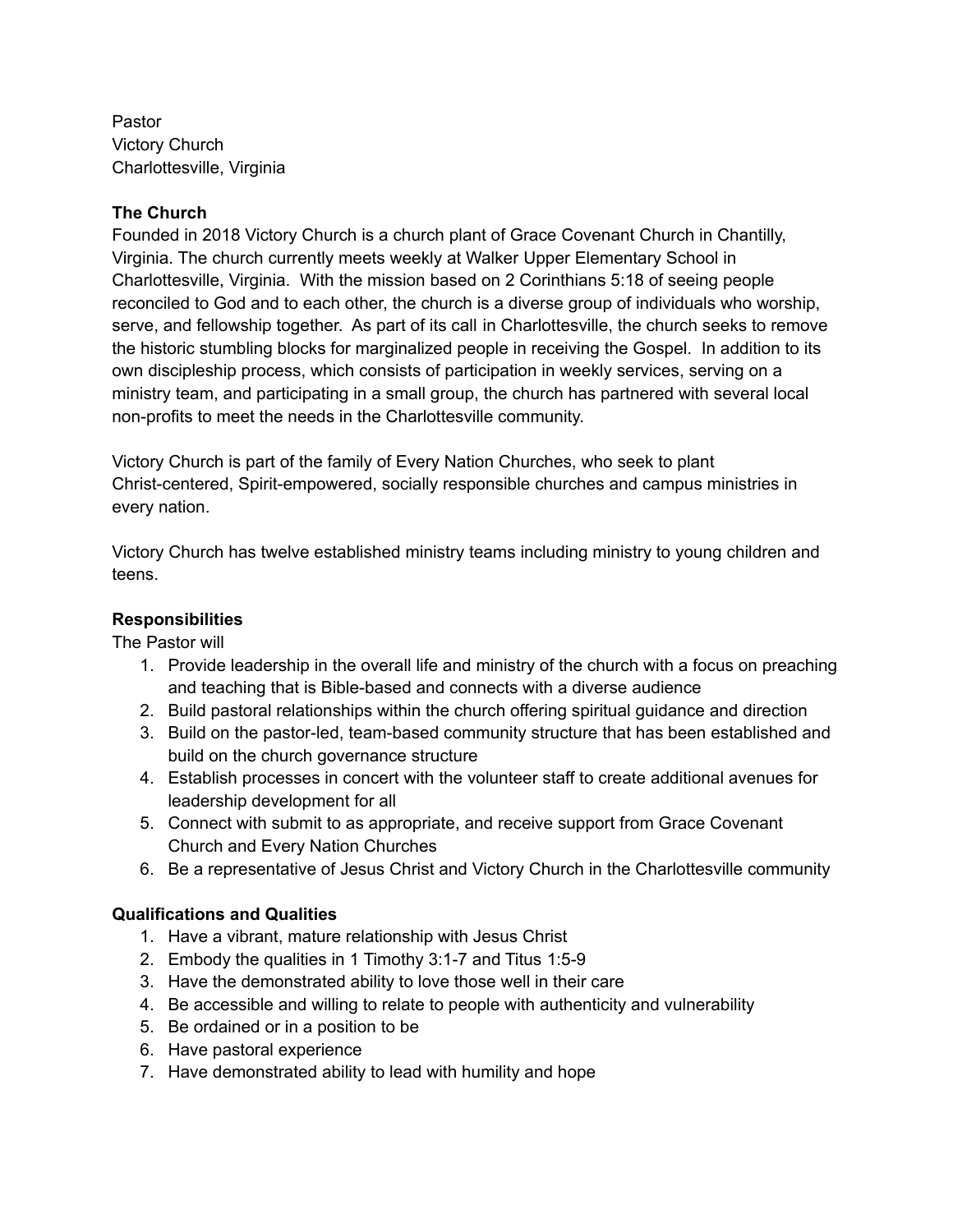Pastor Victory Church Charlottesville, Virginia

## **The Church**

Founded in 2018 Victory Church is a church plant of Grace Covenant Church in Chantilly, Virginia. The church currently meets weekly at Walker Upper Elementary School in Charlottesville, Virginia. With the mission based on 2 Corinthians 5:18 of seeing people reconciled to God and to each other, the church is a diverse group of individuals who worship, serve, and fellowship together. As part of its call in Charlottesville, the church seeks to remove the historic stumbling blocks for marginalized people in receiving the Gospel. In addition to its own discipleship process, which consists of participation in weekly services, serving on a ministry team, and participating in a small group, the church has partnered with several local non-profits to meet the needs in the Charlottesville community.

Victory Church is part of the family of Every Nation Churches, who seek to plant Christ-centered, Spirit-empowered, socially responsible churches and campus ministries in every nation.

Victory Church has twelve established ministry teams including ministry to young children and teens.

## **Responsibilities**

The Pastor will

- 1. Provide leadership in the overall life and ministry of the church with a focus on preaching and teaching that is Bible-based and connects with a diverse audience
- 2. Build pastoral relationships within the church offering spiritual guidance and direction
- 3. Build on the pastor-led, team-based community structure that has been established and build on the church governance structure
- 4. Establish processes in concert with the volunteer staff to create additional avenues for leadership development for all
- 5. Connect with submit to as appropriate, and receive support from Grace Covenant Church and Every Nation Churches
- 6. Be a representative of Jesus Christ and Victory Church in the Charlottesville community

## **Qualifications and Qualities**

- 1. Have a vibrant, mature relationship with Jesus Christ
- 2. Embody the qualities in 1 Timothy 3:1-7 and Titus 1:5-9
- 3. Have the demonstrated ability to love those well in their care
- 4. Be accessible and willing to relate to people with authenticity and vulnerability
- 5. Be ordained or in a position to be
- 6. Have pastoral experience
- 7. Have demonstrated ability to lead with humility and hope